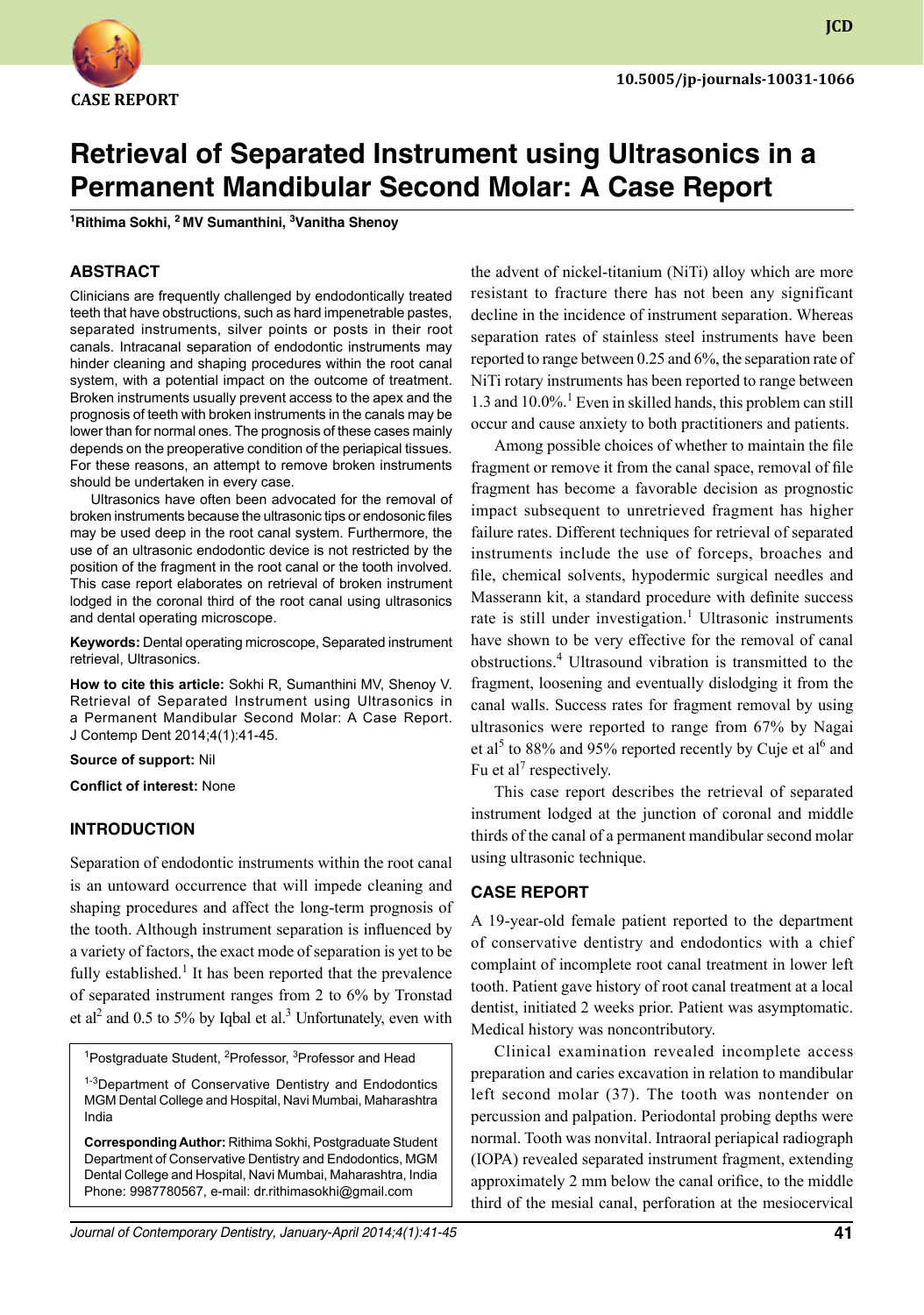

**JCD**

# **Retrieval of Separated Instrument using Ultrasonics in a Permanent Mandibular Second Molar: A Case Report**

**1 Rithima Sokhi, 2 MV Sumanthini, 3 Vanitha Shenoy**

## **ABSTRACT**

Clinicians are frequently challenged by endodontically treated teeth that have obstructions, such as hard impenetrable pastes, separated instruments, silver points or posts in their root canals. Intracanal separation of endodontic instruments may hinder cleaning and shaping procedures within the root canal system, with a potential impact on the outcome of treatment. Broken instruments usually prevent access to the apex and the prognosis of teeth with broken instruments in the canals may be lower than for normal ones. The prognosis of these cases mainly depends on the preoperative condition of the periapical tissues. For these reasons, an attempt to remove broken instruments should be undertaken in every case.

 Ultrasonics have often been advocated for the removal of broken instruments because the ultrasonic tips or endosonic files may be used deep in the root canal system. Furthermore, the use of an ultrasonic endodontic device is not restricted by the position of the fragment in the root canal or the tooth involved. This case report elaborates on retrieval of broken instrument lodged in the coronal third of the root canal using ultrasonics and dental operating microscope.

**Keywords:** Dental operating microscope, Separated instrument retrieval, Ultrasonics.

**How to cite this article:** Sokhi R, Sumanthini MV, Shenoy V. Retrieval of Separated Instrument using Ultrasonics in a Permanent Mandibular Second Molar: A Case Report. J Contemp Dent 2014;4(1):41-45.

**Source of support:** Nil

**Conflict of interest:** None

# **Introduction**

Separation of endodontic instruments within the root canal is an untoward occurrence that will impede cleaning and shaping procedures and affect the long-term prognosis of the tooth. Although instrument separation is influenced by a variety of factors, the exact mode of separation is yet to be fully established.<sup>1</sup> It has been reported that the prevalence of separated instrument ranges from 2 to 6% by Tronstad et al<sup>2</sup> and 0.5 to 5% by Iqbal et al.<sup>3</sup> Unfortunately, even with

<sup>1</sup>Postgraduate Student, <sup>2</sup>Professor, <sup>3</sup>Professor and Head

<sup>1-3</sup>Department of Conservative Dentistry and Endodontics MGM Dental College and Hospital, Navi Mumbai, Maharashtra India

**Corresponding Author:** Rithima Sokhi, Postgraduate Student Department of Conservative Dentistry and Endodontics, MGM Dental College and Hospital, Navi Mumbai, Maharashtra, India Phone: 9987780567, e-mail: dr.rithimasokhi@gmail.com

the advent of nickel-titanium (NiTi) alloy which are more resistant to fracture there has not been any significant decline in the incidence of instrument separation. Whereas separation rates of stainless steel instruments have been reported to range between 0.25 and 6%, the separation rate of NiTi rotary instruments has been reported to range between 1.3 and 10.0%.<sup>1</sup> Even in skilled hands, this problem can still occur and cause anxiety to both practitioners and patients.

Among possible choices of whether to maintain the file fragment or remove it from the canal space, removal of file fragment has become a favorable decision as prognostic impact subsequent to unretrieved fragment has higher failure rates. Different techniques for retrieval of separated instruments include the use of forceps, broaches and file, chemical solvents, hypodermic surgical needles and Masserann kit, a standard procedure with definite success rate is still under investigation.<sup>1</sup> Ultrasonic instruments have shown to be very effective for the removal of canal obstructions.<sup>4</sup> Ultrasound vibration is transmitted to the fragment, loosening and eventually dislodging it from the canal walls. Success rates for fragment removal by using ultrasonics were reported to range from 67% by Nagai et al<sup>5</sup> to 88% and 95% reported recently by Cuje et al<sup>6</sup> and Fu et al<sup>7</sup> respectively.

This case report describes the retrieval of separated instrument lodged at the junction of coronal and middle thirds of the canal of a permanent mandibular second molar using ultrasonic technique.

#### **CASE REPORT**

A 19-year-old female patient reported to the department of conservative dentistry and endodontics with a chief complaint of incomplete root canal treatment in lower left tooth. Patient gave history of root canal treatment at a local dentist, initiated 2 weeks prior. Patient was asymptomatic. Medical history was noncontributory.

Clinical examination revealed incomplete access preparation and caries excavation in relation to mandibular left second molar (37). The tooth was nontender on percussion and palpation. Periodontal probing depths were normal. Tooth was nonvital. Intraoral periapical radiograph (IOPA) revealed separated instrument fragment, extending approximately 2 mm below the canal orifice, to the middle third of the mesial canal, perforation at the mesiocervical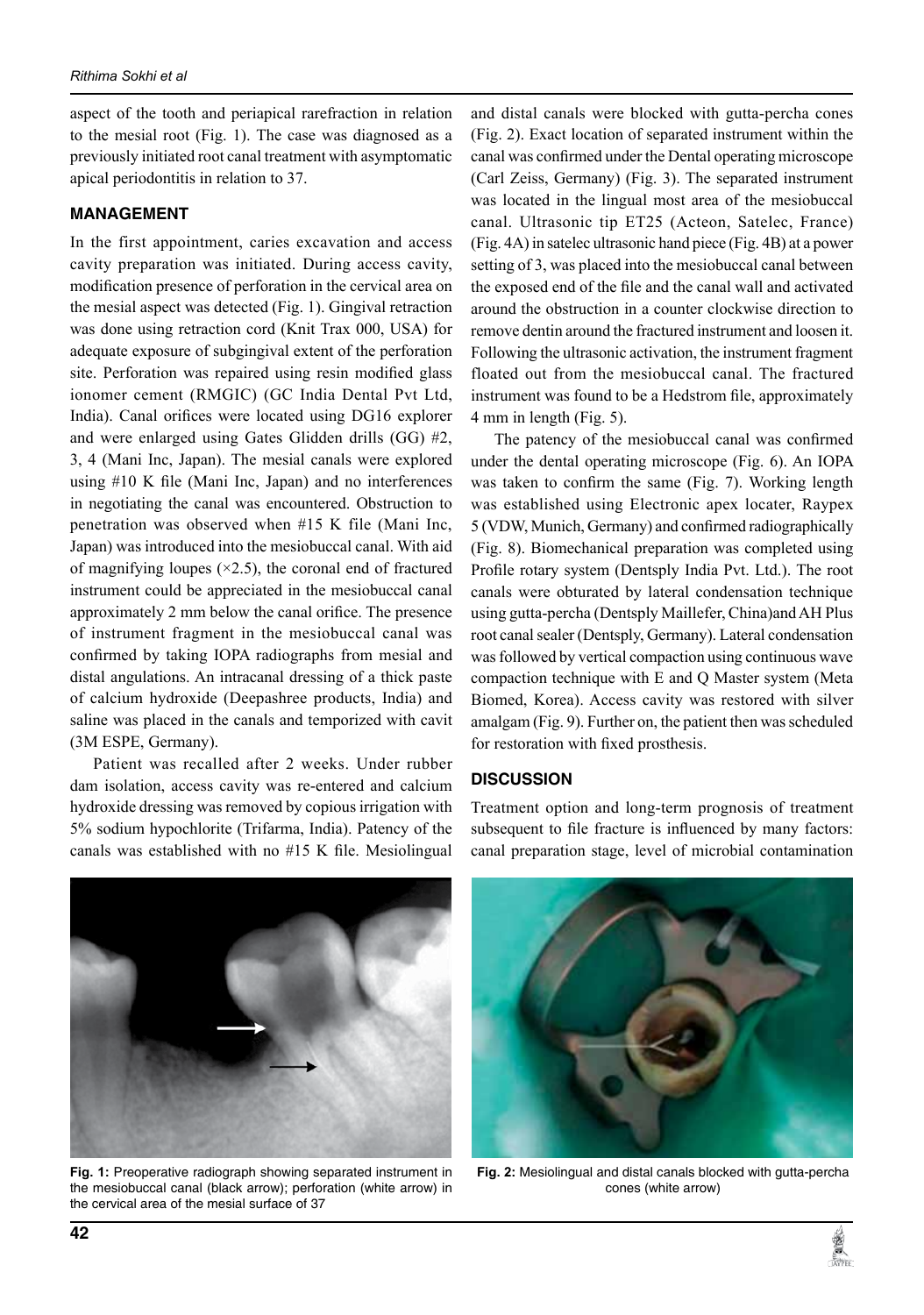aspect of the tooth and periapical rarefraction in relation to the mesial root (Fig. 1). The case was diagnosed as a previously initiated root canal treatment with asymptomatic apical periodontitis in relation to 37.

# **MANAGEMENT**

In the first appointment, caries excavation and access cavity preparation was initiated. During access cavity, modification presence of perforation in the cervical area on the mesial aspect was detected (Fig. 1). Gingival retraction was done using retraction cord (Knit Trax 000, USA) for adequate exposure of subgingival extent of the perforation site. Perforation was repaired using resin modified glass ionomer cement (RMGIC) (GC India Dental Pvt Ltd, India). Canal orifices were located using DG16 explorer and were enlarged using Gates Glidden drills (GG) #2, 3, 4 (Mani Inc, Japan). The mesial canals were explored using #10 K file (Mani Inc, Japan) and no interferences in negotiating the canal was encountered. Obstruction to penetration was observed when #15 K file (Mani Inc, Japan) was introduced into the mesiobuccal canal. With aid of magnifying loupes  $(\times 2.5)$ , the coronal end of fractured instrument could be appreciated in the mesiobuccal canal approximately 2 mm below the canal orifice. The presence of instrument fragment in the mesiobuccal canal was confirmed by taking IOPA radiographs from mesial and distal angulations. An intracanal dressing of a thick paste of calcium hydroxide (Deepashree products, India) and saline was placed in the canals and temporized with cavit (3M ESPE, Germany).

Patient was recalled after 2 weeks. Under rubber dam isolation, access cavity was re-entered and calcium hydroxide dressing was removed by copious irrigation with 5% sodium hypochlorite (Trifarma, India). Patency of the canals was established with no #15 K file. Mesiolingual

and distal canals were blocked with gutta-percha cones (Fig. 2). Exact location of separated instrument within the canal was confirmed under the Dental operating microscope (Carl Zeiss, Germany) (Fig. 3). The separated instrument was located in the lingual most area of the mesiobuccal canal. Ultrasonic tip ET25 (Acteon, Satelec, France) (Fig. 4A) in satelec ultrasonic hand piece (Fig. 4B) at a power setting of 3, was placed into the mesiobuccal canal between the exposed end of the file and the canal wall and activated around the obstruction in a counter clockwise direction to remove dentin around the fractured instrument and loosen it. Following the ultrasonic activation, the instrument fragment floated out from the mesiobuccal canal. The fractured instrument was found to be a Hedstrom file, approximately 4 mm in length (Fig. 5).

The patency of the mesiobuccal canal was confirmed under the dental operating microscope (Fig. 6). An IOPA was taken to confirm the same (Fig. 7). Working length was established using Electronic apex locater, Raypex 5 (VDW, Munich, Germany) and confirmed radiographically (Fig. 8). Biomechanical preparation was completed using Profile rotary system (Dentsply India Pvt. Ltd.). The root canals were obturated by lateral condensation technique using gutta-percha (Dentsply Maillefer, china)and AH Plus root canal sealer (Dentsply, Germany). Lateral condensation was followed by vertical compaction using continuous wave compaction technique with E and Q Master system (Meta biomed, Korea). Access cavity was restored with silver amalgam (Fig. 9). Further on, the patient then was scheduled for restoration with fixed prosthesis.

# **DISCUSSION**

Treatment option and long-term prognosis of treatment subsequent to file fracture is influenced by many factors: canal preparation stage, level of microbial contamination



Fig. 1: Preoperative radiograph showing separated instrument in the mesiobuccal canal (black arrow); perforation (white arrow) in the cervical area of the mesial surface of 37



**Fig. 2:** Mesiolingual and distal canals blocked with gutta-percha cones (white arrow)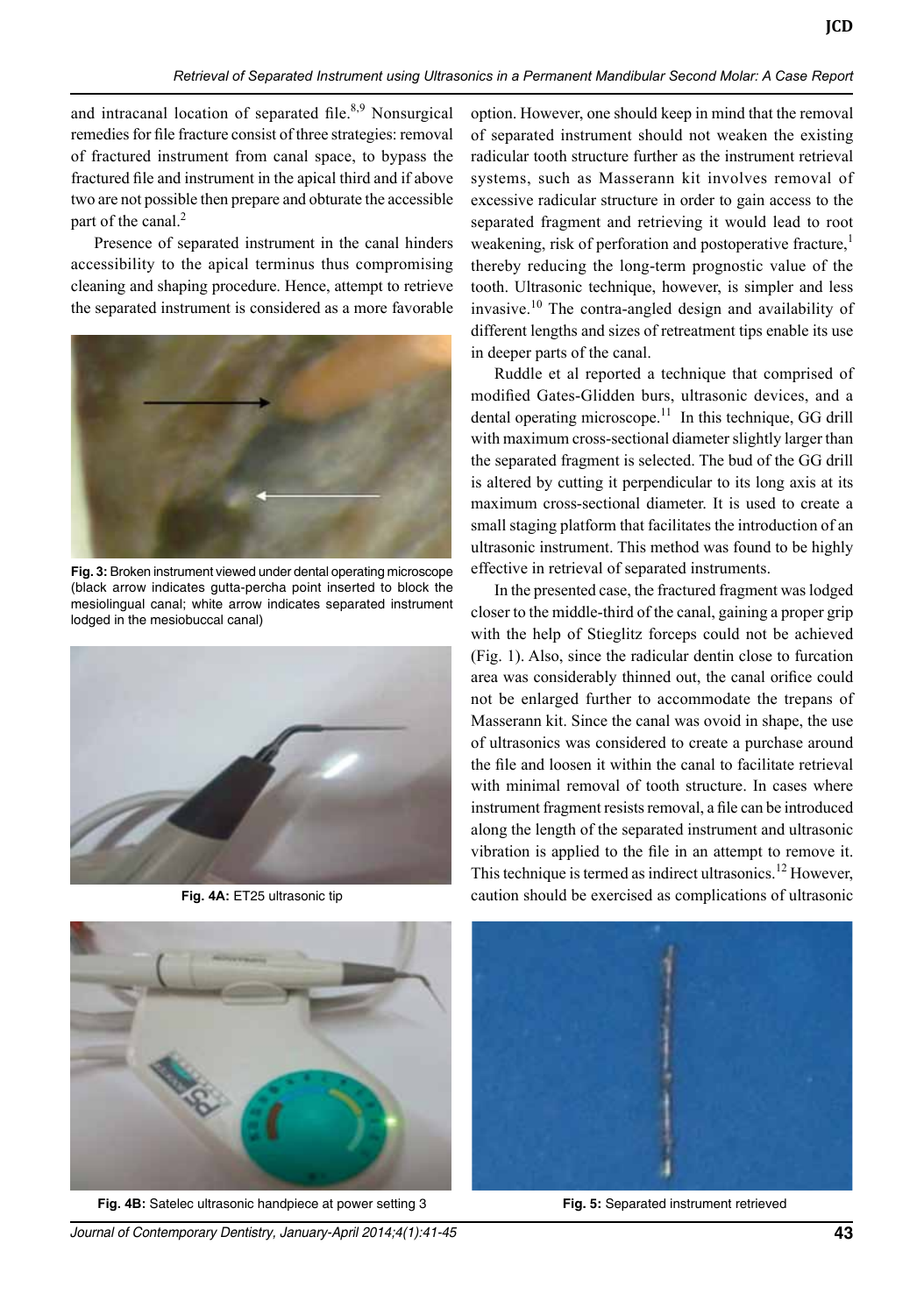and intracanal location of separated file. $8,9$  Nonsurgical remedies for file fracture consist of three strategies: removal of fractured instrument from canal space, to bypass the fractured file and instrument in the apical third and if above two are not possible then prepare and obturate the accessible part of the canal. $<sup>2</sup>$ </sup>

Presence of separated instrument in the canal hinders accessibility to the apical terminus thus compromising cleaning and shaping procedure. Hence, attempt to retrieve the separated instrument is considered as a more favorable



Fig. 3: Broken instrument viewed under dental operating microscope (black arrow indicates gutta-percha point inserted to block the mesiolingual canal; white arrow indicates separated instrument lodged in the mesiobuccal canal)



Fig. 4A: ET25 ultrasonic tip



**Fig. 4B:** Satelec ultrasonic handpiece at power setting 3 **Fig. 5:** Separated instrument retrieved

option. However, one should keep in mind that the removal of separated instrument should not weaken the existing radicular tooth structure further as the instrument retrieval systems, such as Masserann kit involves removal of excessive radicular structure in order to gain access to the separated fragment and retrieving it would lead to root weakening, risk of perforation and postoperative fracture,<sup>1</sup> thereby reducing the long-term prognostic value of the tooth. Ultrasonic technique, however, is simpler and less invasive.<sup>10</sup> The contra-angled design and availability of different lengths and sizes of retreatment tips enable its use in deeper parts of the canal.

**JCD**

Ruddle et al reported a technique that comprised of modified Gates-Glidden burs, ultrasonic devices, and a dental operating microscope.<sup>11</sup> In this technique, GG drill with maximum cross-sectional diameter slightly larger than the separated fragment is selected. The bud of the GG drill is altered by cutting it perpendicular to its long axis at its maximum cross-sectional diameter. It is used to create a small staging platform that facilitates the introduction of an ultrasonic instrument. This method was found to be highly effective in retrieval of separated instruments.

In the presented case, the fractured fragment was lodged closer to the middle-third of the canal, gaining a proper grip with the help of Stieglitz forceps could not be achieved (Fig. 1). Also, since the radicular dentin close to furcation area was considerably thinned out, the canal orifice could not be enlarged further to accommodate the trepans of Masserann kit. Since the canal was ovoid in shape, the use of ultrasonics was considered to create a purchase around the file and loosen it within the canal to facilitate retrieval with minimal removal of tooth structure. In cases where instrument fragment resists removal, a file can be introduced along the length of the separated instrument and ultrasonic vibration is applied to the file in an attempt to remove it. This technique is termed as indirect ultrasonics.<sup>12</sup> However, caution should be exercised as complications of ultrasonic



*Journal of Contemporary Dentistry, January-April 2014;4(1):41-45* **43**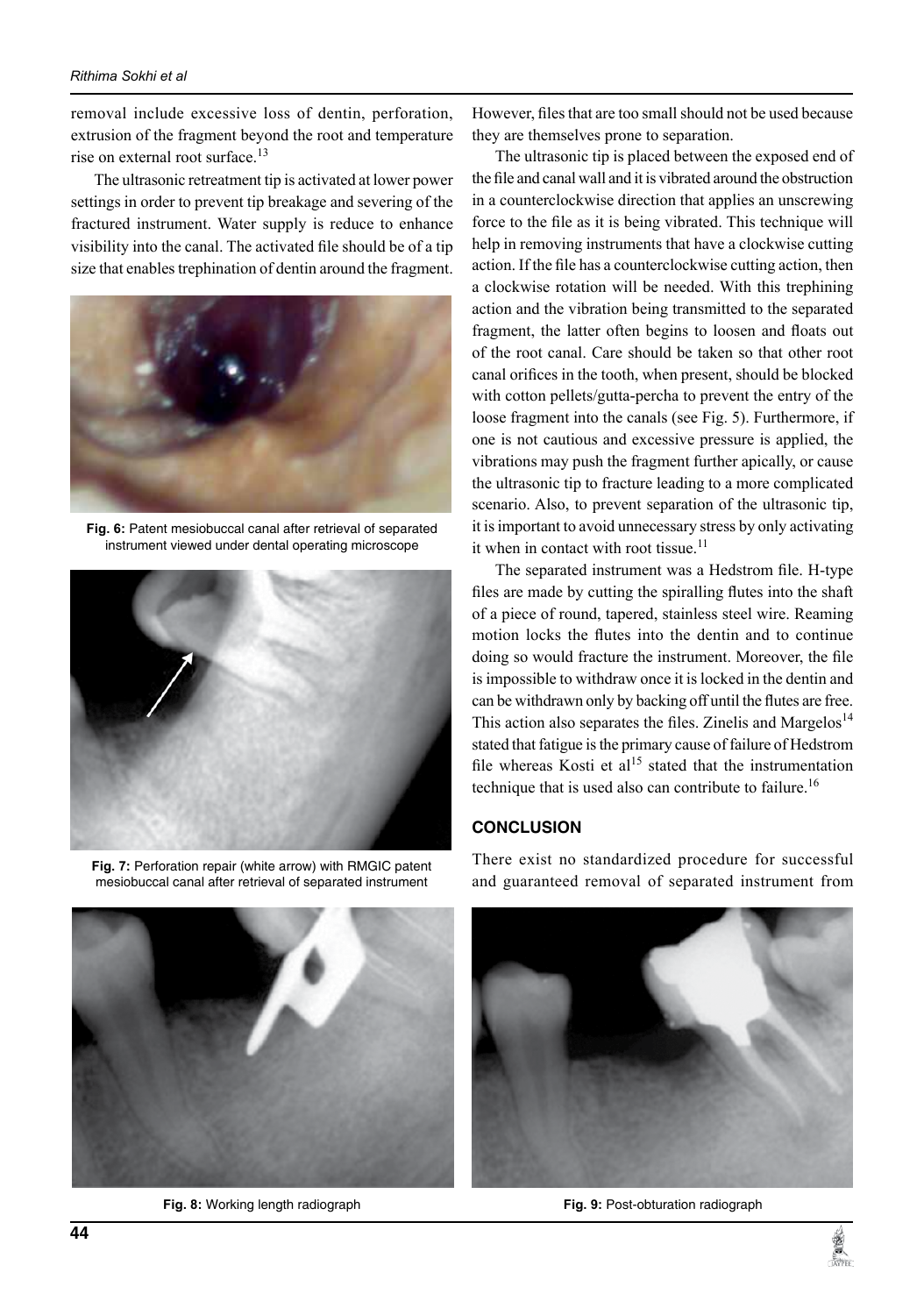#### *Rithima Sokhi et al*

removal include excessive loss of dentin, perforation, extrusion of the fragment beyond the root and temperature rise on external root surface.<sup>13</sup>

The ultrasonic retreatment tip is activated at lower power settings in order to prevent tip breakage and severing of the fractured instrument. Water supply is reduce to enhance visibility into the canal. The activated file should be of a tip size that enables trephination of dentin around the fragment.



Fig. 6: Patent mesiobuccal canal after retrieval of separated instrument viewed under dental operating microscope



Fig. 7: Perforation repair (white arrow) with RMGIC patent mesiobuccal canal after retrieval of separated instrument



**Fig. 8:** working length radiograph

However, files that are too small should not be used because they are themselves prone to separation.

The ultrasonic tip is placed between the exposed end of the file and canal wall and it is vibrated around the obstruction in a counterclockwise direction that applies an unscrewing force to the file as it is being vibrated. This technique will help in removing instruments that have a clockwise cutting action. If the file has a counterclockwise cutting action, then a clockwise rotation will be needed. With this trephining action and the vibration being transmitted to the separated fragment, the latter often begins to loosen and floats out of the root canal. Care should be taken so that other root canal orifices in the tooth, when present, should be blocked with cotton pellets/gutta-percha to prevent the entry of the loose fragment into the canals (see Fig. 5). Furthermore, if one is not cautious and excessive pressure is applied, the vibrations may push the fragment further apically, or cause the ultrasonic tip to fracture leading to a more complicated scenario. Also, to prevent separation of the ultrasonic tip, it is important to avoid unnecessary stress by only activating it when in contact with root tissue. $11$ 

The separated instrument was a Hedstrom file. H-type files are made by cutting the spiralling flutes into the shaft of a piece of round, tapered, stainless steel wire. Reaming motion locks the flutes into the dentin and to continue doing so would fracture the instrument. Moreover, the file is impossible to withdraw once it is locked in the dentin and can be withdrawn only by backing off until the flutes are free. This action also separates the files. Zinelis and Margelos<sup>14</sup> stated that fatigue is the primary cause of failure of Hedstrom file whereas Kosti et  $al<sup>15</sup>$  stated that the instrumentation technique that is used also can contribute to failure.<sup>16</sup>

#### **CONCLUSION**

There exist no standardized procedure for successful and guaranteed removal of separated instrument from



Fig. 9: Post-obturation radiograph